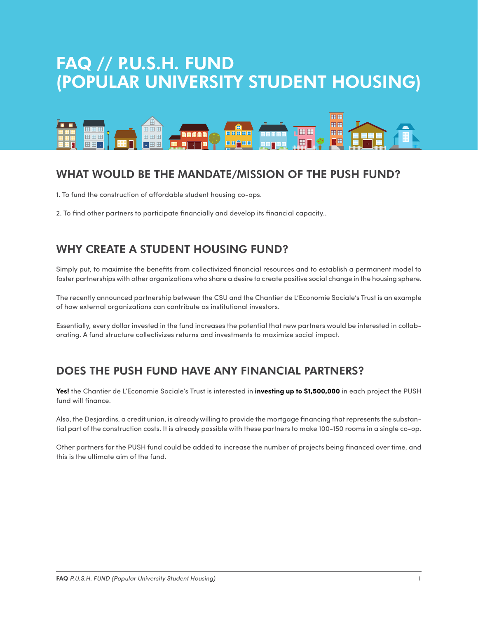# FAQ // P.U.S.H. FUND (POPULAR UNIVERSITY STUDENT HOUSING)



# WHAT WOULD BE THE MANDATE/MISSION OF THE PUSH FUND?

1. To fund the construction of affordable student housing co-ops.

2. To find other partners to participate financially and develop its financial capacity..

### WHY CREATE A STUDENT HOUSING FUND?

Simply put, to maximise the benefits from collectivized financial resources and to establish a permanent model to foster partnerships with other organizations who share a desire to create positive social change in the housing sphere.

The recently announced partnership between the CSU and the Chantier de L'Economie Sociale's Trust is an example of how external organizations can contribute as institutional investors.

Essentially, every dollar invested in the fund increases the potential that new partners would be interested in collaborating. A fund structure collectivizes returns and investments to maximize social impact.

### DOES THE PUSH FUND HAVE ANY FINANCIAL PARTNERS?

**Yes!** the Chantier de L'Economie Sociale's Trust is interested in **investing up to \$1,500,000** in each project the PUSH fund will finance.

Also, the Desjardins, a credit union, is already willing to provide the mortgage financing that represents the substantial part of the construction costs. It is already possible with these partners to make 100-150 rooms in a single co-op.

Other partners for the PUSH fund could be added to increase the number of projects being financed over time, and this is the ultimate aim of the fund.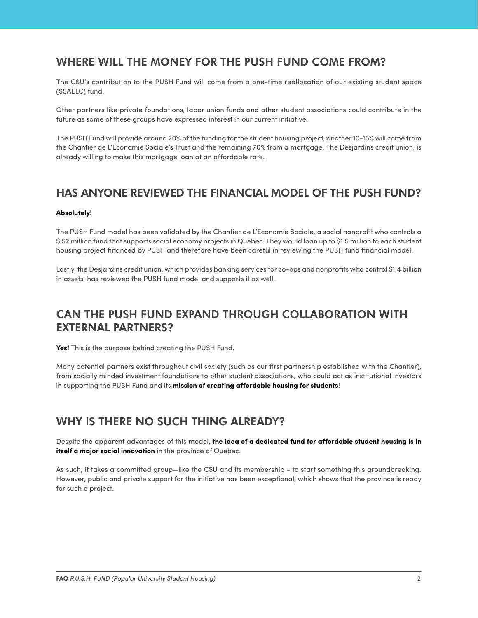#### WHERE WILL THE MONEY FOR THE PUSH FUND COME FROM?

The CSU's contribution to the PUSH Fund will come from a one-time reallocation of our existing student space (SSAELC) fund.

Other partners like private foundations, labor union funds and other student associations could contribute in the future as some of these groups have expressed interest in our current initiative.

The PUSH Fund will provide around 20% of the funding for the student housing project, another 10-15% will come from the Chantier de L'Economie Sociale's Trust and the remaining 70% from a mortgage. The Desjardins credit union, is already willing to make this mortgage loan at an affordable rate.

#### HAS ANYONE REVIEWED THE FINANCIAL MODEL OF THE PUSH FUND?

#### **Absolutely!**

The PUSH Fund model has been validated by the Chantier de L'Economie Sociale, a social nonprofit who controls a \$ 52 million fund that supports social economy projects in Quebec. They would loan up to \$1.5 million to each student housing project financed by PUSH and therefore have been careful in reviewing the PUSH fund financial model.

Lastly, the Desjardins credit union, which provides banking services for co-ops and nonprofits who control \$1,4 billion in assets, has reviewed the PUSH fund model and supports it as well.

### CAN THE PUSH FUND EXPAND THROUGH COLLABORATION WITH EXTERNAL PARTNERS?

**Yes!** This is the purpose behind creating the PUSH Fund.

Many potential partners exist throughout civil society (such as our first partnership established with the Chantier), from socially minded investment foundations to other student associations, who could act as institutional investors in supporting the PUSH Fund and its **mission of creating affordable housing for students**!

### WHY IS THERE NO SUCH THING ALREADY?

Despite the apparent advantages of this model, **the idea of a dedicated fund for affordable student housing is in itself a major social innovation** in the province of Quebec.

As such, it takes a committed group—like the CSU and its membership - to start something this groundbreaking. However, public and private support for the initiative has been exceptional, which shows that the province is ready for such a project.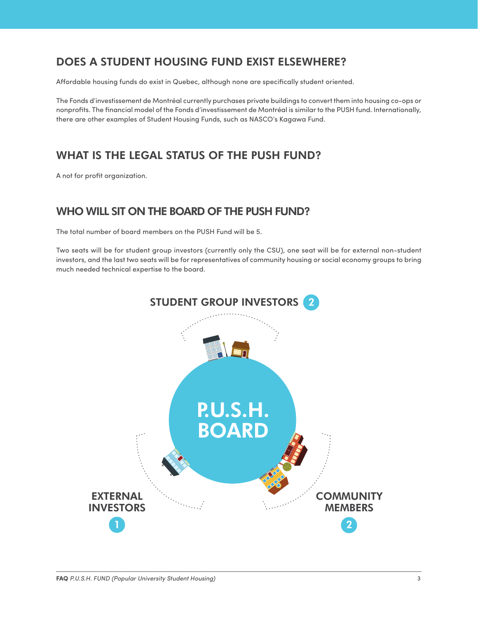# DOES A STUDENT HOUSING FUND EXIST ELSEWHERE?

Affordable housing funds do exist in Quebec, although none are specifically student oriented.

The Fonds d'investissement de Montréal currently purchases private buildings to convert them into housing co-ops or nonprofits. The financial model of the Fonds d'investissement de Montréal is similar to the PUSH fund. Internationally, there are other examples of Student Housing Funds, such as NASCO's Kagawa Fund.

## WHAT IS THE LEGAL STATUS OF THE PUSH FUND?

A not for profit organization.

#### WHO WILL SIT ON THE BOARD OF THE PUSH FUND?

The total number of board members on the PUSH Fund will be 5.

Two seats will be for student group investors (currently only the CSU), one seat will be for external non-student investors, and the last two seats will be for representatives of community housing or social economy groups to bring much needed technical expertise to the board.